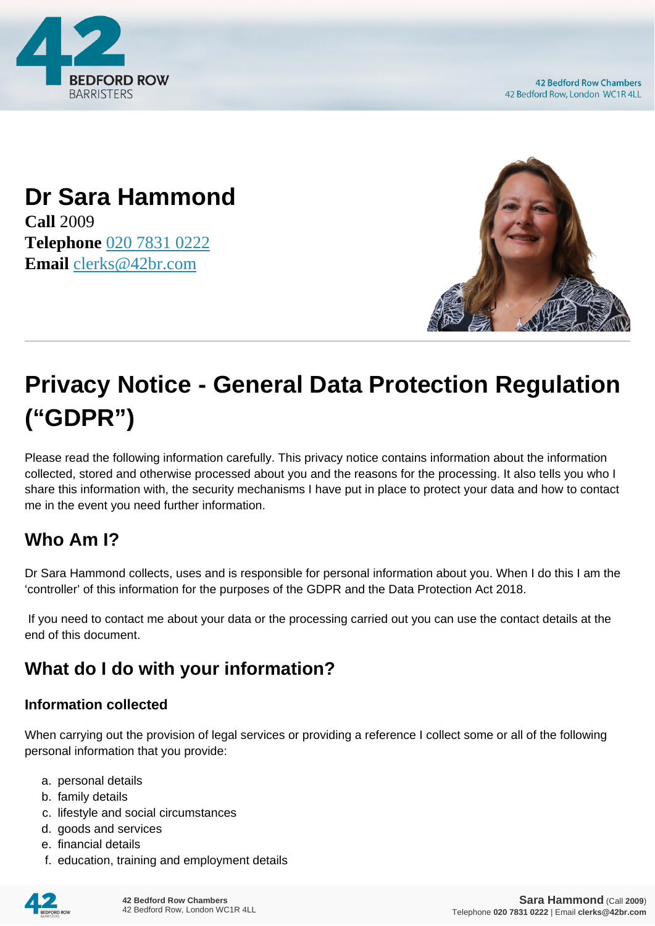

## **Dr Sara Hammond Call** 2009 **Telephone** [020 7831 0222](https://pdf.codeshore.co/_42br/tel:020 7831 0222) **Email** [clerks@42br.com](mailto:clerks@42br.com)



# **Privacy Notice - General Data Protection Regulation ("GDPR")**

Please read the following information carefully. This privacy notice contains information about the information collected, stored and otherwise processed about you and the reasons for the processing. It also tells you who I share this information with, the security mechanisms I have put in place to protect your data and how to contact me in the event you need further information.

# **Who Am I?**

Dr Sara Hammond collects, uses and is responsible for personal information about you. When I do this I am the 'controller' of this information for the purposes of the GDPR and the Data Protection Act 2018.

 If you need to contact me about your data or the processing carried out you can use the contact details at the end of this document.

# **What do I do with your information?**

#### **Information collected**

When carrying out the provision of legal services or providing a reference I collect some or all of the following personal information that you provide:

- a. personal details
- b. family details
- c. lifestyle and social circumstances
- d. goods and services
- e. financial details
- f. education, training and employment details

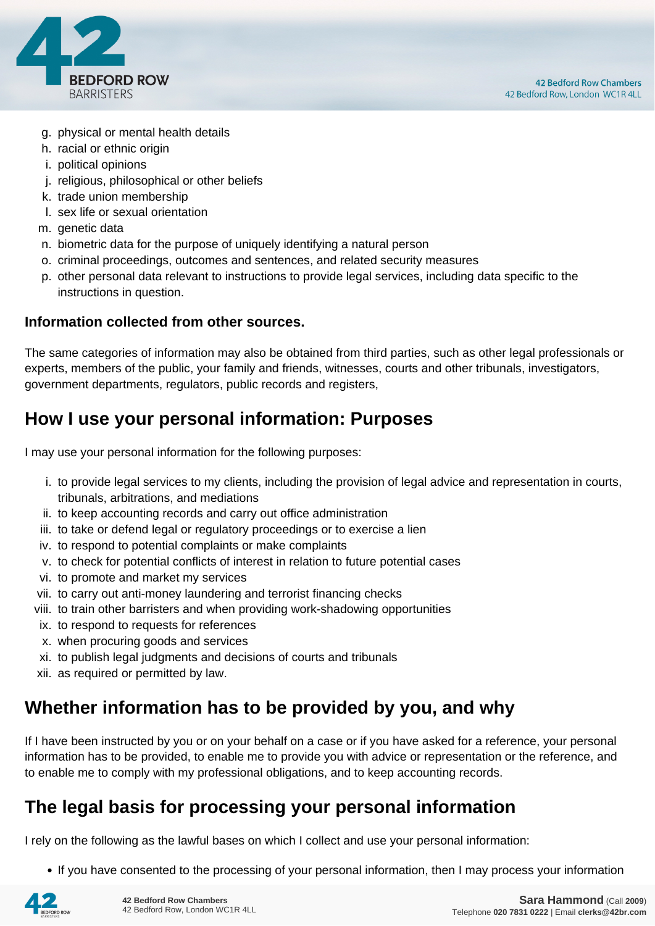

- g. physical or mental health details
- h. racial or ethnic origin
- i. political opinions
- j. religious, philosophical or other beliefs
- k. trade union membership
- l. sex life or sexual orientation
- m. genetic data
- n. biometric data for the purpose of uniquely identifying a natural person
- o. criminal proceedings, outcomes and sentences, and related security measures
- p. other personal data relevant to instructions to provide legal services, including data specific to the instructions in question.

#### **Information collected from other sources.**

The same categories of information may also be obtained from third parties, such as other legal professionals or experts, members of the public, your family and friends, witnesses, courts and other tribunals, investigators, government departments, regulators, public records and registers,

#### **How I use your personal information: Purposes**

I may use your personal information for the following purposes:

- i. to provide legal services to my clients, including the provision of legal advice and representation in courts, tribunals, arbitrations, and mediations
- ii. to keep accounting records and carry out office administration
- iii. to take or defend legal or regulatory proceedings or to exercise a lien
- iv. to respond to potential complaints or make complaints
- v. to check for potential conflicts of interest in relation to future potential cases
- vi. to promote and market my services
- vii. to carry out anti-money laundering and terrorist financing checks
- viii. to train other barristers and when providing work-shadowing opportunities
- ix. to respond to requests for references
- x. when procuring goods and services
- xi. to publish legal judgments and decisions of courts and tribunals
- xii. as required or permitted by law.

#### **Whether information has to be provided by you, and why**

If I have been instructed by you or on your behalf on a case or if you have asked for a reference, your personal information has to be provided, to enable me to provide you with advice or representation or the reference, and to enable me to comply with my professional obligations, and to keep accounting records.

#### **The legal basis for processing your personal information**

I rely on the following as the lawful bases on which I collect and use your personal information:

• If you have consented to the processing of your personal information, then I may process your information

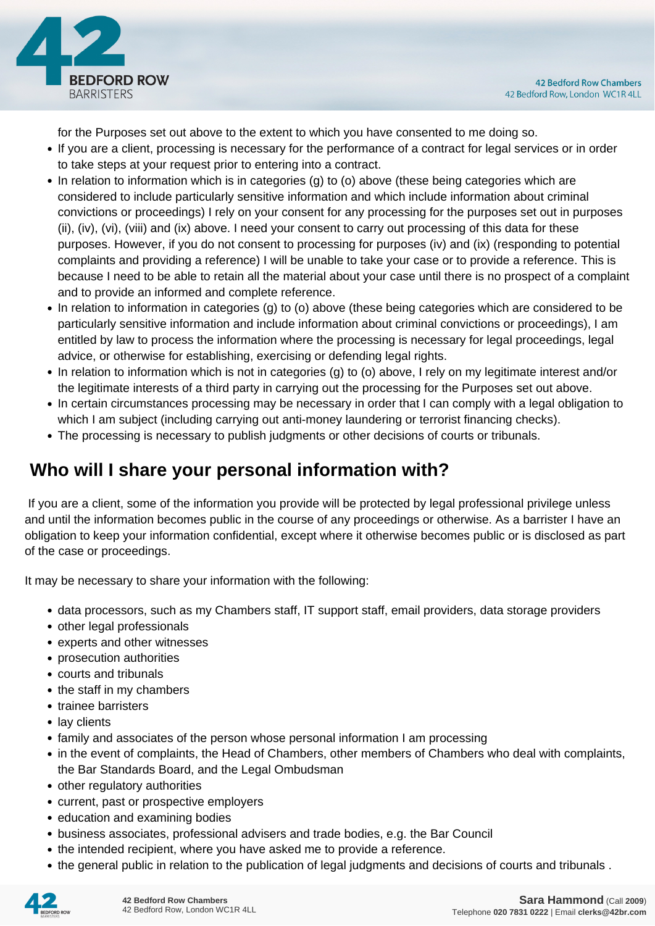

for the Purposes set out above to the extent to which you have consented to me doing so.

- If you are a client, processing is necessary for the performance of a contract for legal services or in order to take steps at your request prior to entering into a contract.
- In relation to information which is in categories (g) to (o) above (these being categories which are considered to include particularly sensitive information and which include information about criminal convictions or proceedings) I rely on your consent for any processing for the purposes set out in purposes (ii), (iv), (vi), (viii) and (ix) above. I need your consent to carry out processing of this data for these purposes. However, if you do not consent to processing for purposes (iv) and (ix) (responding to potential complaints and providing a reference) I will be unable to take your case or to provide a reference. This is because I need to be able to retain all the material about your case until there is no prospect of a complaint and to provide an informed and complete reference.
- In relation to information in categories (g) to (o) above (these being categories which are considered to be particularly sensitive information and include information about criminal convictions or proceedings), I am entitled by law to process the information where the processing is necessary for legal proceedings, legal advice, or otherwise for establishing, exercising or defending legal rights.
- In relation to information which is not in categories (g) to (o) above, I rely on my legitimate interest and/or the legitimate interests of a third party in carrying out the processing for the Purposes set out above.
- In certain circumstances processing may be necessary in order that I can comply with a legal obligation to which I am subject (including carrying out anti-money laundering or terrorist financing checks).
- The processing is necessary to publish judgments or other decisions of courts or tribunals.

## **Who will I share your personal information with?**

 If you are a client, some of the information you provide will be protected by legal professional privilege unless and until the information becomes public in the course of any proceedings or otherwise. As a barrister I have an obligation to keep your information confidential, except where it otherwise becomes public or is disclosed as part of the case or proceedings.

It may be necessary to share your information with the following:

- data processors, such as my Chambers staff, IT support staff, email providers, data storage providers
- other legal professionals
- experts and other witnesses
- prosecution authorities
- courts and tribunals
- the staff in my chambers
- trainee barristers
- lay clients
- family and associates of the person whose personal information I am processing
- in the event of complaints, the Head of Chambers, other members of Chambers who deal with complaints, the Bar Standards Board, and the Legal Ombudsman
- other regulatory authorities
- current, past or prospective employers
- education and examining bodies
- business associates, professional advisers and trade bodies, e.g. the Bar Council
- the intended recipient, where you have asked me to provide a reference.
- the general public in relation to the publication of legal judgments and decisions of courts and tribunals .

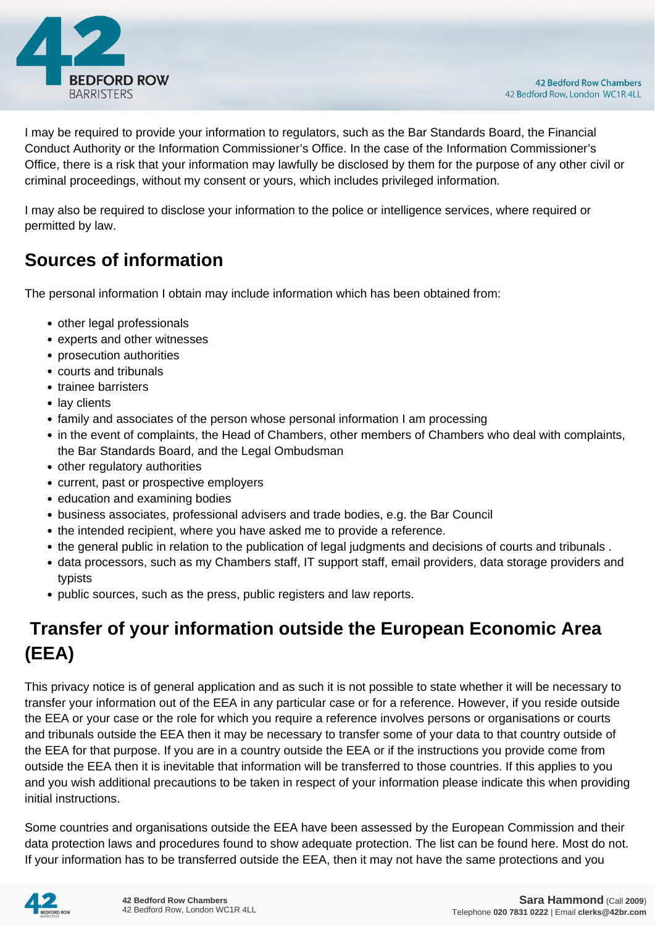

I may be required to provide your information to regulators, such as the Bar Standards Board, the Financial Conduct Authority or the Information Commissioner's Office. In the case of the Information Commissioner's Office, there is a risk that your information may lawfully be disclosed by them for the purpose of any other civil or criminal proceedings, without my consent or yours, which includes privileged information.

I may also be required to disclose your information to the police or intelligence services, where required or permitted by law.

#### **Sources of information**

The personal information I obtain may include information which has been obtained from:

- other legal professionals
- experts and other witnesses
- prosecution authorities
- courts and tribunals
- trainee barristers
- lay clients
- family and associates of the person whose personal information I am processing
- in the event of complaints, the Head of Chambers, other members of Chambers who deal with complaints, the Bar Standards Board, and the Legal Ombudsman
- other regulatory authorities
- current, past or prospective employers
- education and examining bodies
- business associates, professional advisers and trade bodies, e.g. the Bar Council
- the intended recipient, where you have asked me to provide a reference.
- the general public in relation to the publication of legal judgments and decisions of courts and tribunals .
- data processors, such as my Chambers staff, IT support staff, email providers, data storage providers and typists
- public sources, such as the press, public registers and law reports.

# **Transfer of your information outside the European Economic Area (EEA)**

This privacy notice is of general application and as such it is not possible to state whether it will be necessary to transfer your information out of the EEA in any particular case or for a reference. However, if you reside outside the EEA or your case or the role for which you require a reference involves persons or organisations or courts and tribunals outside the EEA then it may be necessary to transfer some of your data to that country outside of the EEA for that purpose. If you are in a country outside the EEA or if the instructions you provide come from outside the EEA then it is inevitable that information will be transferred to those countries. If this applies to you and you wish additional precautions to be taken in respect of your information please indicate this when providing initial instructions.

Some countries and organisations outside the EEA have been assessed by the European Commission and their data protection laws and procedures found to show adequate protection. The list can be found here. Most do not. If your information has to be transferred outside the EEA, then it may not have the same protections and you

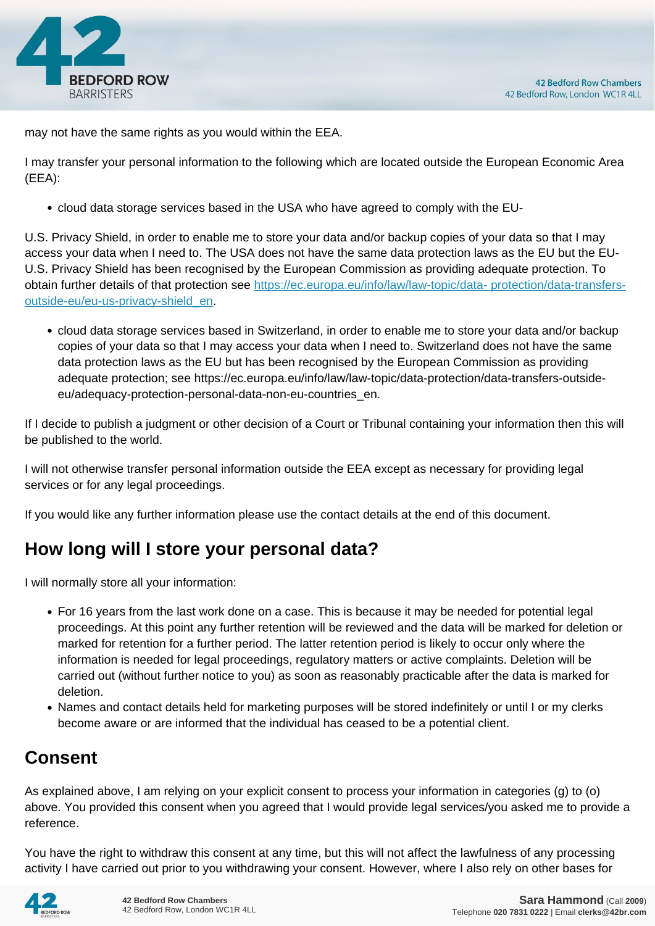

may not have the same rights as you would within the EEA.

I may transfer your personal information to the following which are located outside the European Economic Area (EEA):

cloud data storage services based in the USA who have agreed to comply with the EU-

U.S. Privacy Shield, in order to enable me to store your data and/or backup copies of your data so that I may access your data when I need to. The USA does not have the same data protection laws as the EU but the EU-U.S. Privacy Shield has been recognised by the European Commission as providing adequate protection. To obtain further details of that protection see [https://ec.europa.eu/info/law/law-topic/data- protection/data-transfers](https://ec.europa.eu/info/law/law-topic/data- protection/data-transfers-outside-eu/eu-us-privacy-shield_en)[outside-eu/eu-us-privacy-shield\\_en.](https://ec.europa.eu/info/law/law-topic/data- protection/data-transfers-outside-eu/eu-us-privacy-shield_en)

cloud data storage services based in Switzerland, in order to enable me to store your data and/or backup copies of your data so that I may access your data when I need to. Switzerland does not have the same data protection laws as the EU but has been recognised by the European Commission as providing adequate protection; see https://ec.europa.eu/info/law/law-topic/data-protection/data-transfers-outsideeu/adequacy-protection-personal-data-non-eu-countries\_en.

If I decide to publish a judgment or other decision of a Court or Tribunal containing your information then this will be published to the world.

I will not otherwise transfer personal information outside the EEA except as necessary for providing legal services or for any legal proceedings.

If you would like any further information please use the contact details at the end of this document.

## **How long will I store your personal data?**

I will normally store all your information:

- For 16 years from the last work done on a case. This is because it may be needed for potential legal proceedings. At this point any further retention will be reviewed and the data will be marked for deletion or marked for retention for a further period. The latter retention period is likely to occur only where the information is needed for legal proceedings, regulatory matters or active complaints. Deletion will be carried out (without further notice to you) as soon as reasonably practicable after the data is marked for deletion.
- Names and contact details held for marketing purposes will be stored indefinitely or until I or my clerks become aware or are informed that the individual has ceased to be a potential client.

## **Consent**

As explained above, I am relying on your explicit consent to process your information in categories (g) to (o) above. You provided this consent when you agreed that I would provide legal services/you asked me to provide a reference.

You have the right to withdraw this consent at any time, but this will not affect the lawfulness of any processing activity I have carried out prior to you withdrawing your consent. However, where I also rely on other bases for

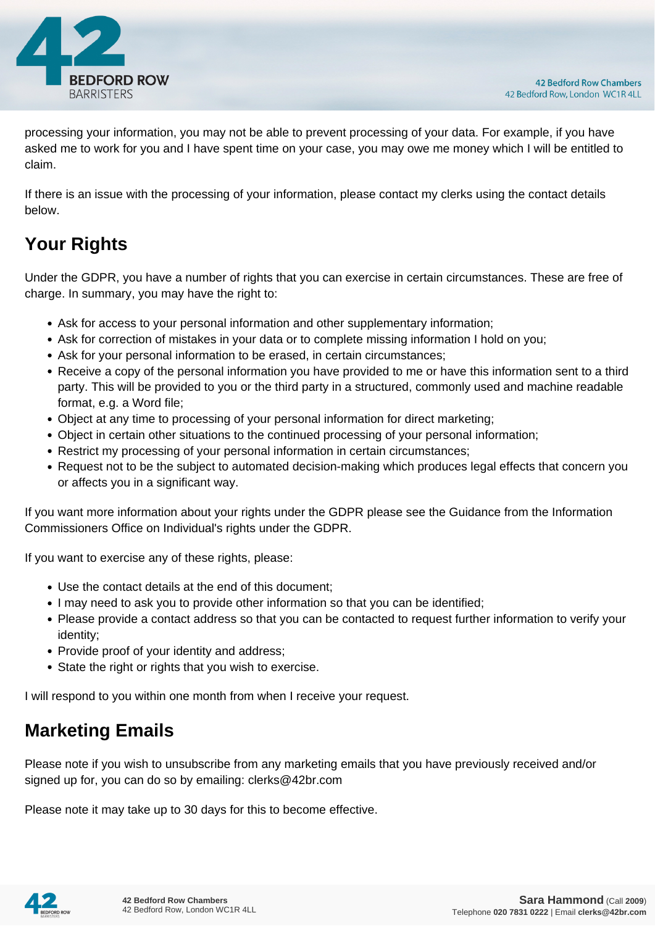

processing your information, you may not be able to prevent processing of your data. For example, if you have asked me to work for you and I have spent time on your case, you may owe me money which I will be entitled to claim.

If there is an issue with the processing of your information, please contact my clerks using the contact details below.

# **Your Rights**

Under the GDPR, you have a number of rights that you can exercise in certain circumstances. These are free of charge. In summary, you may have the right to:

- Ask for access to your personal information and other supplementary information;
- Ask for correction of mistakes in your data or to complete missing information I hold on you;
- Ask for your personal information to be erased, in certain circumstances;
- Receive a copy of the personal information you have provided to me or have this information sent to a third party. This will be provided to you or the third party in a structured, commonly used and machine readable format, e.g. a Word file;
- Object at any time to processing of your personal information for direct marketing;
- Object in certain other situations to the continued processing of your personal information;
- Restrict my processing of your personal information in certain circumstances;
- Request not to be the subject to automated decision-making which produces legal effects that concern you or affects you in a significant way.

If you want more information about your rights under the GDPR please see the Guidance from the Information Commissioners Office on Individual's rights under the GDPR.

If you want to exercise any of these rights, please:

- Use the contact details at the end of this document;
- I may need to ask you to provide other information so that you can be identified;
- Please provide a contact address so that you can be contacted to request further information to verify your identity;
- Provide proof of your identity and address;
- State the right or rights that you wish to exercise.

I will respond to you within one month from when I receive your request.

#### **Marketing Emails**

Please note if you wish to unsubscribe from any marketing emails that you have previously received and/or signed up for, you can do so by emailing: clerks@42br.com

Please note it may take up to 30 days for this to become effective.